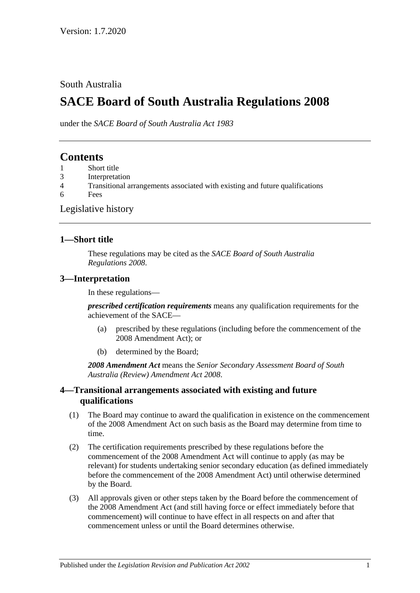## South Australia

# **SACE Board of South Australia Regulations 2008**

under the *SACE Board of South Australia Act 1983*

## **Contents**

- 1 [Short title](#page-0-0)
- 3 [Interpretation](#page-0-1)
- 4 [Transitional arrangements associated with existing and future qualifications](#page-0-2)
- 6 [Fees](#page-1-0)

#### [Legislative history](#page-2-0)

#### <span id="page-0-0"></span>**1—Short title**

These regulations may be cited as the *SACE Board of South Australia Regulations 2008*.

#### <span id="page-0-1"></span>**3—Interpretation**

In these regulations—

*prescribed certification requirements* means any qualification requirements for the achievement of the SACE—

- (a) prescribed by these regulations (including before the commencement of the 2008 Amendment Act); or
- (b) determined by the Board;

*2008 Amendment Act* means the *[Senior Secondary Assessment Board of South](http://www.legislation.sa.gov.au/index.aspx?action=legref&type=act&legtitle=Senior%20Secondary%20Assessment%20Board%20of%20South%20Australia%20(Review)%20Amendment%20Act%202008)  [Australia \(Review\) Amendment Act](http://www.legislation.sa.gov.au/index.aspx?action=legref&type=act&legtitle=Senior%20Secondary%20Assessment%20Board%20of%20South%20Australia%20(Review)%20Amendment%20Act%202008) 2008*.

### <span id="page-0-2"></span>**4—Transitional arrangements associated with existing and future qualifications**

- (1) The Board may continue to award the qualification in existence on the commencement of the 2008 Amendment Act on such basis as the Board may determine from time to time.
- (2) The certification requirements prescribed by these regulations before the commencement of the 2008 Amendment Act will continue to apply (as may be relevant) for students undertaking senior secondary education (as defined immediately before the commencement of the 2008 Amendment Act) until otherwise determined by the Board.
- (3) All approvals given or other steps taken by the Board before the commencement of the 2008 Amendment Act (and still having force or effect immediately before that commencement) will continue to have effect in all respects on and after that commencement unless or until the Board determines otherwise.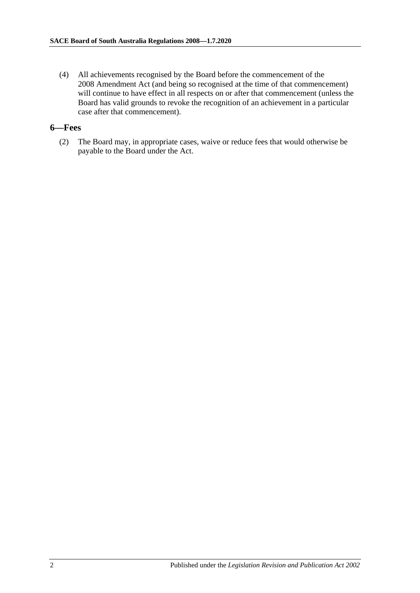(4) All achievements recognised by the Board before the commencement of the 2008 Amendment Act (and being so recognised at the time of that commencement) will continue to have effect in all respects on or after that commencement (unless the Board has valid grounds to revoke the recognition of an achievement in a particular case after that commencement).

#### <span id="page-1-0"></span>**6—Fees**

(2) The Board may, in appropriate cases, waive or reduce fees that would otherwise be payable to the Board under the Act.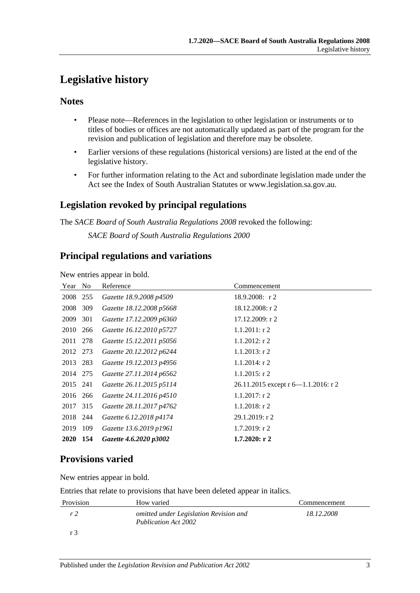# <span id="page-2-0"></span>**Legislative history**

### **Notes**

- Please note—References in the legislation to other legislation or instruments or to titles of bodies or offices are not automatically updated as part of the program for the revision and publication of legislation and therefore may be obsolete.
- Earlier versions of these regulations (historical versions) are listed at the end of the legislative history.
- For further information relating to the Act and subordinate legislation made under the Act see the Index of South Australian Statutes or www.legislation.sa.gov.au.

# **Legislation revoked by principal regulations**

The *SACE Board of South Australia Regulations 2008* revoked the following:

*SACE Board of South Australia Regulations 2000*

## **Principal regulations and variations**

New entries appear in bold.

|     | Reference                                                                                              | Commencement                        |
|-----|--------------------------------------------------------------------------------------------------------|-------------------------------------|
|     | Gazette 18.9.2008 p4509                                                                                | $18.9.2008$ : r 2                   |
| 309 | Gazette 18.12.2008 p5668                                                                               | $18.12.2008:$ r 2                   |
| 301 | Gazette 17.12.2009 p6360                                                                               | 17.12.2009: r2                      |
| 266 | Gazette 16.12.2010 p5727                                                                               | $1.1.2011$ : r 2                    |
|     | Gazette 15.12.2011 p5056                                                                               | $1.1.2012$ : r 2                    |
|     | Gazette 20.12.2012 p6244                                                                               | $1.1.2013$ : r 2                    |
|     | Gazette 19.12.2013 p4956                                                                               | $1.1.2014$ : r 2                    |
|     | Gazette 27.11.2014 p6562                                                                               | $1.1.2015$ : r 2                    |
|     | Gazette 26.11.2015 p5114                                                                               | 26.11.2015 except r 6-1.1.2016: r 2 |
|     | Gazette 24.11.2016 p4510                                                                               | $1.1.2017$ : r 2                    |
|     | Gazette 28.11.2017 p4762                                                                               | $1.1.2018$ : r 2                    |
|     | Gazette 6.12.2018 p4174                                                                                | 29.1.2019: r 2                      |
| 109 | Gazette 13.6.2019 p1961                                                                                | $1.7.2019$ : r 2                    |
| 154 | Gazette 4.6.2020 p3002                                                                                 | $1.7.2020:$ r 2                     |
|     | - No<br>255<br>278<br>2012 273<br>2013 283<br>2014 275<br>2015 241<br>2016 266<br>2017 315<br>2018 244 |                                     |

# **Provisions varied**

New entries appear in bold.

Entries that relate to provisions that have been deleted appear in italics.

| Provision | How varied                                                     | Commencement |
|-----------|----------------------------------------------------------------|--------------|
| r 2       | omitted under Legislation Revision and<br>Publication Act 2002 | 18.12.2008   |
|           |                                                                |              |